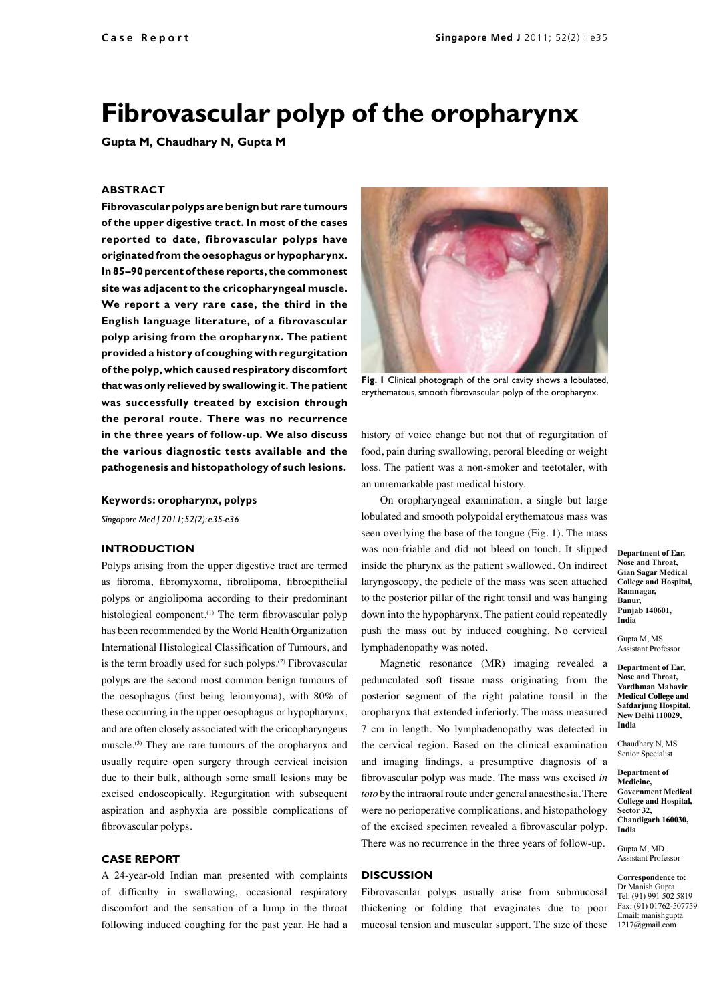# **Fibrovascular polyp of the oropharynx**

**Gupta M, Chaudhary N, Gupta M**

### **ABSTRACT**

**Fibrovascular polyps are benign but rare tumours of the upper digestive tract. In most of the cases reported to date, fibrovascular polyps have originated from the oesophagus or hypopharynx. In 85–90 percent of these reports, the commonest site was adjacent to the cricopharyngeal muscle. We report a very rare case, the third in the English language literature, of a fibrovascular polyp arising from the oropharynx. The patient provided a history of coughing with regurgitation of the polyp, which caused respiratory discomfort that was only relieved by swallowing it. The patient was successfully treated by excision through the peroral route. There was no recurrence in the three years of follow-up. We also discuss the various diagnostic tests available and the pathogenesis and histopathology of such lesions.**

**Keywords: oropharynx, polyps**

*Singapore Med J 2011; 52(2): e35-e36*

### **Introduction**

Polyps arising from the upper digestive tract are termed as fibroma, fibromyxoma, fibrolipoma, fibroepithelial polyps or angiolipoma according to their predominant histological component.<sup>(1)</sup> The term fibrovascular polyp has been recommended by the World Health Organization International Histological Classification of Tumours, and is the term broadly used for such polyps.<sup>(2)</sup> Fibrovascular polyps are the second most common benign tumours of the oesophagus (first being leiomyoma), with 80% of these occurring in the upper oesophagus or hypopharynx, and are often closely associated with the cricopharyngeus muscle.(3) They are rare tumours of the oropharynx and usually require open surgery through cervical incision due to their bulk, although some small lesions may be excised endoscopically. Regurgitation with subsequent aspiration and asphyxia are possible complications of fibrovascular polyps.

### **Case Report**

A 24-year-old Indian man presented with complaints of difficulty in swallowing, occasional respiratory discomfort and the sensation of a lump in the throat following induced coughing for the past year. He had a



**Fig. 1** Clinical photograph of the oral cavity shows a lobulated, erythematous, smooth fibrovascular polyp of the oropharynx.

history of voice change but not that of regurgitation of food, pain during swallowing, peroral bleeding or weight loss. The patient was a non-smoker and teetotaler, with an unremarkable past medical history.

On oropharyngeal examination, a single but large lobulated and smooth polypoidal erythematous mass was seen overlying the base of the tongue (Fig. 1). The mass was non-friable and did not bleed on touch. It slipped inside the pharynx as the patient swallowed. On indirect laryngoscopy, the pedicle of the mass was seen attached to the posterior pillar of the right tonsil and was hanging down into the hypopharynx. The patient could repeatedly push the mass out by induced coughing. No cervical lymphadenopathy was noted.

Magnetic resonance (MR) imaging revealed a pedunculated soft tissue mass originating from the posterior segment of the right palatine tonsil in the oropharynx that extended inferiorly. The mass measured 7 cm in length. No lymphadenopathy was detected in the cervical region. Based on the clinical examination and imaging findings, a presumptive diagnosis of a fibrovascular polyp was made. The mass was excised *in toto* by the intraoral route under general anaesthesia. There were no perioperative complications, and histopathology of the excised specimen revealed a fibrovascular polyp. There was no recurrence in the three years of follow-up.

## **Discussion**

Fibrovascular polyps usually arise from submucosal thickening or folding that evaginates due to poor mucosal tension and muscular support. The size of these **Department of Ear, Nose and Throat, Gian Sagar Medical College and Hospital, Ramnagar, Banur, Punjab 140601, India**

Gupta M, MS Assistant Professor

**Department of Ear, Nose and Throat, Vardhman Mahavir Medical College and Safdarjung Hospital, New Delhi 110029, India**

Chaudhary N, MS Senior Specialist

**Department of Medicine, Government Medical College and Hospital, Sector 32, Chandigarh 160030, India**

Gupta M, MD Assistant Professor

**Correspondence to:** Dr Manish Gupta Tel: (91) 991 502 5819 Fax: (91) 01762-507759 Email: manishgupta 1217@gmail.com